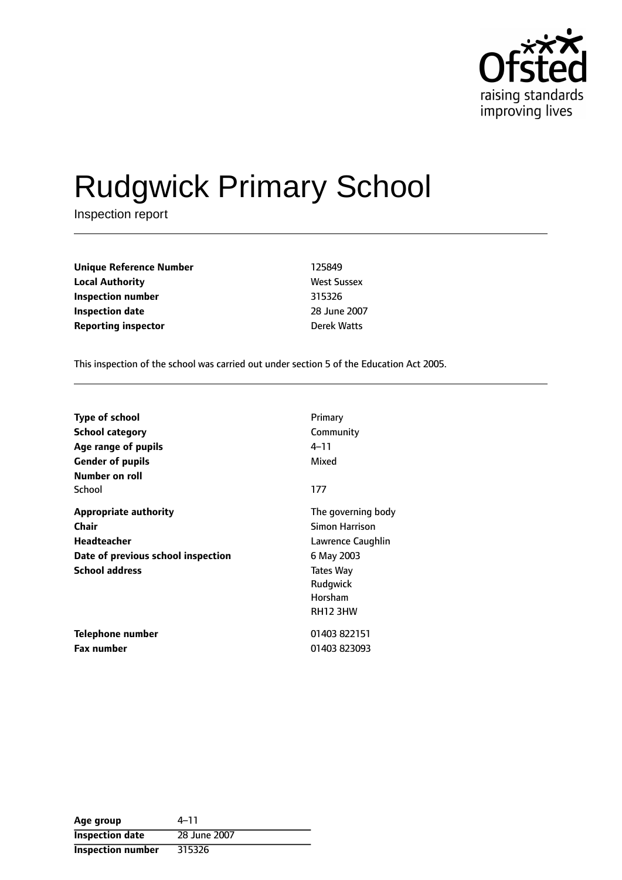

# Rudgwick Primary School

Inspection report

| Unique Reference Number    | 125849             |
|----------------------------|--------------------|
| Local Authority            | <b>West Sussex</b> |
| Inspection number          | 315326             |
| Inspection date            | 28 June 2007       |
| <b>Reporting inspector</b> | <b>Derek Watts</b> |
|                            |                    |

This inspection of the school was carried out under section 5 of the Education Act 2005.

| <b>Type of school</b>              | Primary            |
|------------------------------------|--------------------|
| <b>School category</b>             | Community          |
| Age range of pupils                | 4–11               |
| <b>Gender of pupils</b>            | Mixed              |
| Number on roll                     |                    |
| School                             | 177                |
| <b>Appropriate authority</b>       | The governing body |
| Chair                              | Simon Harrison     |
| <b>Headteacher</b>                 | Lawrence Caughlin  |
| Date of previous school inspection | 6 May 2003         |
| <b>School address</b>              | Tates Way          |
|                                    | Rudgwick           |
|                                    | Horsham            |
|                                    | <b>RH12 3HW</b>    |
| Telephone number                   | 01403 822151       |
| <b>Fax number</b>                  | 01403 823093       |

| Age group                | $4 - 11$     |
|--------------------------|--------------|
| <b>Inspection date</b>   | 28 June 2007 |
| <b>Inspection number</b> | 315326       |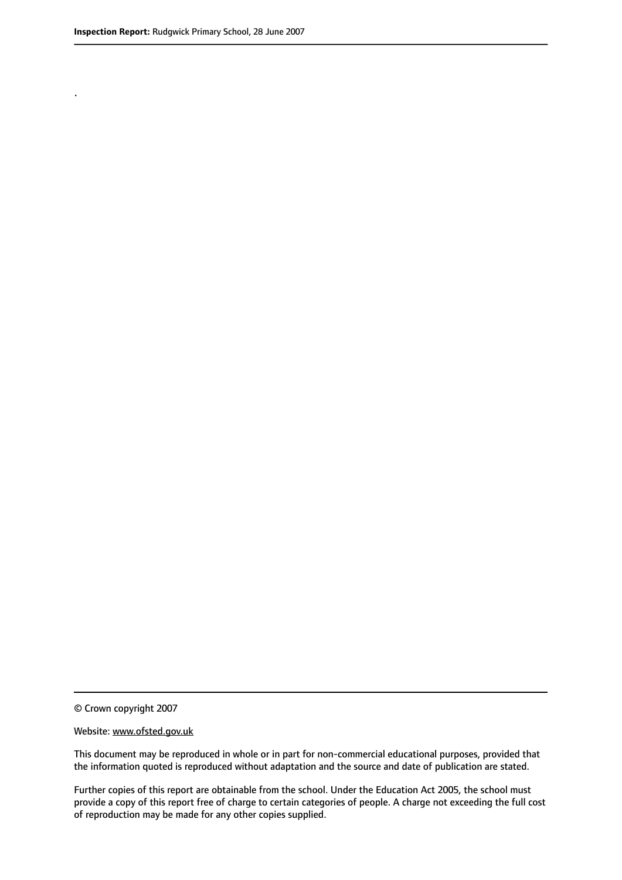.

© Crown copyright 2007

#### Website: www.ofsted.gov.uk

This document may be reproduced in whole or in part for non-commercial educational purposes, provided that the information quoted is reproduced without adaptation and the source and date of publication are stated.

Further copies of this report are obtainable from the school. Under the Education Act 2005, the school must provide a copy of this report free of charge to certain categories of people. A charge not exceeding the full cost of reproduction may be made for any other copies supplied.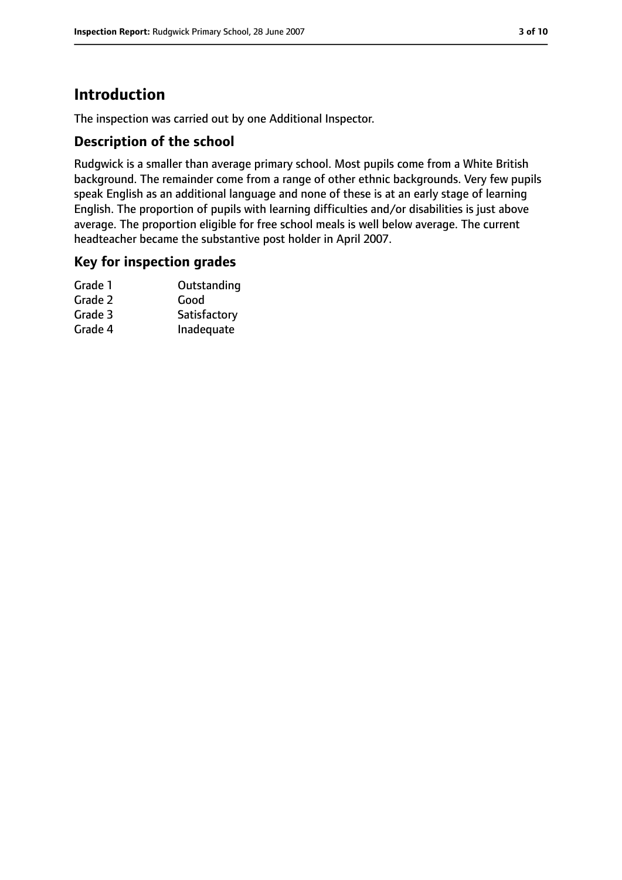# **Introduction**

The inspection was carried out by one Additional Inspector.

#### **Description of the school**

Rudgwick is a smaller than average primary school. Most pupils come from a White British background. The remainder come from a range of other ethnic backgrounds. Very few pupils speak English as an additional language and none of these is at an early stage of learning English. The proportion of pupils with learning difficulties and/or disabilities is just above average. The proportion eligible for free school meals is well below average. The current headteacher became the substantive post holder in April 2007.

#### **Key for inspection grades**

| Grade 1 | Outstanding  |
|---------|--------------|
| Grade 2 | Good         |
| Grade 3 | Satisfactory |
| Grade 4 | Inadequate   |
|         |              |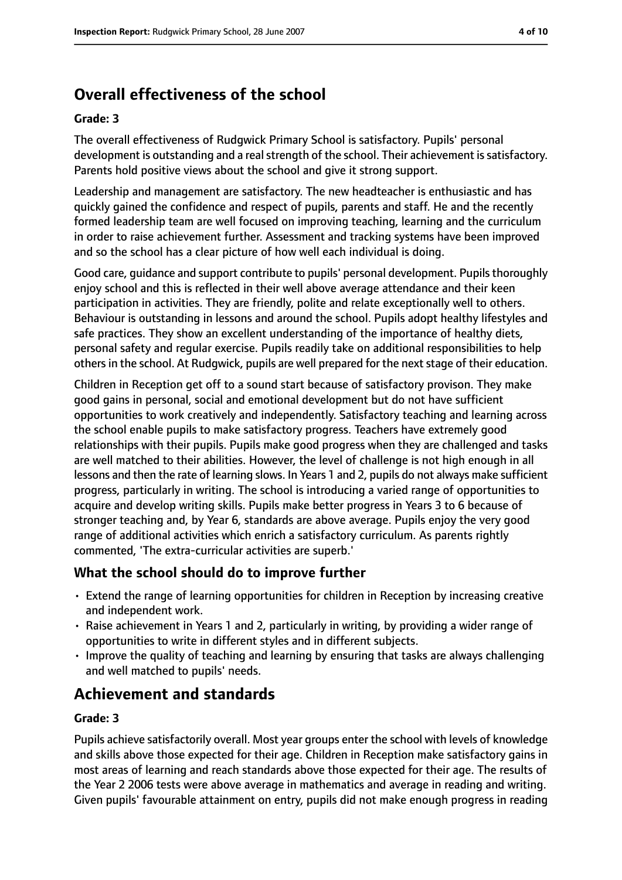# **Overall effectiveness of the school**

#### **Grade: 3**

The overall effectiveness of Rudgwick Primary School is satisfactory. Pupils' personal development is outstanding and a real strength of the school. Their achievement is satisfactory. Parents hold positive views about the school and give it strong support.

Leadership and management are satisfactory. The new headteacher is enthusiastic and has quickly gained the confidence and respect of pupils, parents and staff. He and the recently formed leadership team are well focused on improving teaching, learning and the curriculum in order to raise achievement further. Assessment and tracking systems have been improved and so the school has a clear picture of how well each individual is doing.

Good care, quidance and support contribute to pupils' personal development. Pupils thoroughly enjoy school and this is reflected in their well above average attendance and their keen participation in activities. They are friendly, polite and relate exceptionally well to others. Behaviour is outstanding in lessons and around the school. Pupils adopt healthy lifestyles and safe practices. They show an excellent understanding of the importance of healthy diets, personal safety and regular exercise. Pupils readily take on additional responsibilities to help others in the school. At Rudgwick, pupils are well prepared for the next stage of their education.

Children in Reception get off to a sound start because of satisfactory provison. They make good gains in personal, social and emotional development but do not have sufficient opportunities to work creatively and independently. Satisfactory teaching and learning across the school enable pupils to make satisfactory progress. Teachers have extremely good relationships with their pupils. Pupils make good progress when they are challenged and tasks are well matched to their abilities. However, the level of challenge is not high enough in all lessons and then the rate of learning slows. In Years 1 and 2, pupils do not always make sufficient progress, particularly in writing. The school is introducing a varied range of opportunities to acquire and develop writing skills. Pupils make better progress in Years 3 to 6 because of stronger teaching and, by Year 6, standards are above average. Pupils enjoy the very good range of additional activities which enrich a satisfactory curriculum. As parents rightly commented, 'The extra-curricular activities are superb.'

## **What the school should do to improve further**

- Extend the range of learning opportunities for children in Reception by increasing creative and independent work.
- Raise achievement in Years 1 and 2, particularly in writing, by providing a wider range of opportunities to write in different styles and in different subjects.
- Improve the quality of teaching and learning by ensuring that tasks are always challenging and well matched to pupils' needs.

# **Achievement and standards**

#### **Grade: 3**

Pupils achieve satisfactorily overall. Most year groups enter the school with levels of knowledge and skills above those expected for their age. Children in Reception make satisfactory gains in most areas of learning and reach standards above those expected for their age. The results of the Year 2 2006 tests were above average in mathematics and average in reading and writing. Given pupils' favourable attainment on entry, pupils did not make enough progress in reading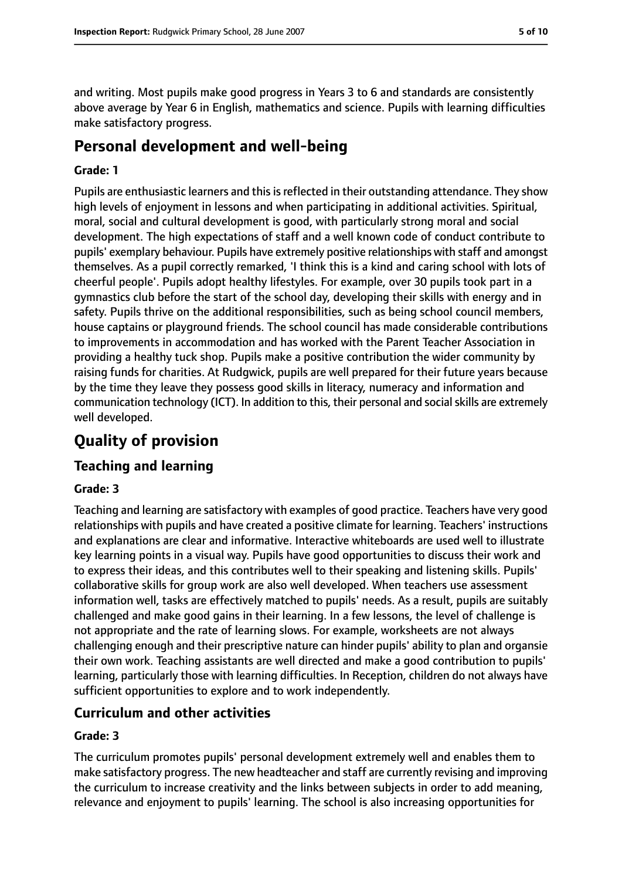and writing. Most pupils make good progress in Years 3 to 6 and standards are consistently above average by Year 6 in English, mathematics and science. Pupils with learning difficulties make satisfactory progress.

# **Personal development and well-being**

#### **Grade: 1**

Pupils are enthusiastic learners and this is reflected in their outstanding attendance. They show high levels of enjoyment in lessons and when participating in additional activities. Spiritual, moral, social and cultural development is good, with particularly strong moral and social development. The high expectations of staff and a well known code of conduct contribute to pupils' exemplary behaviour. Pupils have extremely positive relationships with staff and amongst themselves. As a pupil correctly remarked, 'I think this is a kind and caring school with lots of cheerful people'. Pupils adopt healthy lifestyles. For example, over 30 pupils took part in a gymnastics club before the start of the school day, developing their skills with energy and in safety. Pupils thrive on the additional responsibilities, such as being school council members, house captains or playground friends. The school council has made considerable contributions to improvements in accommodation and has worked with the Parent Teacher Association in providing a healthy tuck shop. Pupils make a positive contribution the wider community by raising funds for charities. At Rudgwick, pupils are well prepared for their future years because by the time they leave they possess good skills in literacy, numeracy and information and communication technology (ICT). In addition to this, their personal and social skills are extremely well developed.

# **Quality of provision**

## **Teaching and learning**

#### **Grade: 3**

Teaching and learning are satisfactory with examples of good practice. Teachers have very good relationships with pupils and have created a positive climate for learning. Teachers' instructions and explanations are clear and informative. Interactive whiteboards are used well to illustrate key learning points in a visual way. Pupils have good opportunities to discuss their work and to express their ideas, and this contributes well to their speaking and listening skills. Pupils' collaborative skills for group work are also well developed. When teachers use assessment information well, tasks are effectively matched to pupils' needs. As a result, pupils are suitably challenged and make good gains in their learning. In a few lessons, the level of challenge is not appropriate and the rate of learning slows. For example, worksheets are not always challenging enough and their prescriptive nature can hinder pupils' ability to plan and organsie their own work. Teaching assistants are well directed and make a good contribution to pupils' learning, particularly those with learning difficulties. In Reception, children do not always have sufficient opportunities to explore and to work independently.

## **Curriculum and other activities**

#### **Grade: 3**

The curriculum promotes pupils' personal development extremely well and enables them to make satisfactory progress. The new headteacher and staff are currently revising and improving the curriculum to increase creativity and the links between subjects in order to add meaning, relevance and enjoyment to pupils' learning. The school is also increasing opportunities for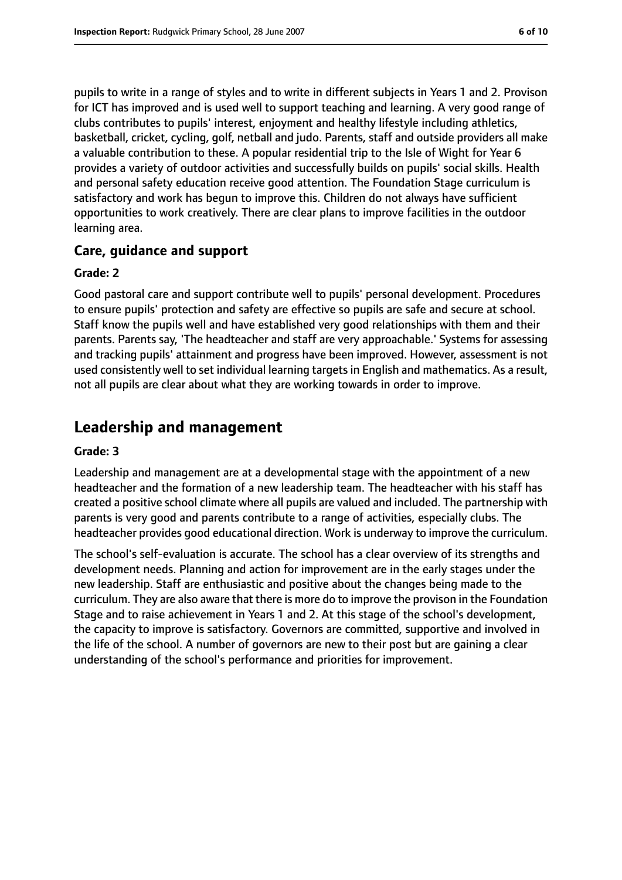pupils to write in a range of styles and to write in different subjects in Years 1 and 2. Provison for ICT has improved and is used well to support teaching and learning. A very good range of clubs contributes to pupils' interest, enjoyment and healthy lifestyle including athletics, basketball, cricket, cycling, golf, netball and judo. Parents, staff and outside providers all make a valuable contribution to these. A popular residential trip to the Isle of Wight for Year 6 provides a variety of outdoor activities and successfully builds on pupils' social skills. Health and personal safety education receive good attention. The Foundation Stage curriculum is satisfactory and work has begun to improve this. Children do not always have sufficient opportunities to work creatively. There are clear plans to improve facilities in the outdoor learning area.

#### **Care, guidance and support**

#### **Grade: 2**

Good pastoral care and support contribute well to pupils' personal development. Procedures to ensure pupils' protection and safety are effective so pupils are safe and secure at school. Staff know the pupils well and have established very good relationships with them and their parents. Parents say, 'The headteacher and staff are very approachable.' Systems for assessing and tracking pupils' attainment and progress have been improved. However, assessment is not used consistently well to set individual learning targets in English and mathematics. As a result, not all pupils are clear about what they are working towards in order to improve.

## **Leadership and management**

#### **Grade: 3**

Leadership and management are at a developmental stage with the appointment of a new headteacher and the formation of a new leadership team. The headteacher with his staff has created a positive school climate where all pupils are valued and included. The partnership with parents is very good and parents contribute to a range of activities, especially clubs. The headteacher provides good educational direction. Work is underway to improve the curriculum.

The school's self-evaluation is accurate. The school has a clear overview of its strengths and development needs. Planning and action for improvement are in the early stages under the new leadership. Staff are enthusiastic and positive about the changes being made to the curriculum. They are also aware that there is more do to improve the provison in the Foundation Stage and to raise achievement in Years 1 and 2. At this stage of the school's development, the capacity to improve is satisfactory. Governors are committed, supportive and involved in the life of the school. A number of governors are new to their post but are gaining a clear understanding of the school's performance and priorities for improvement.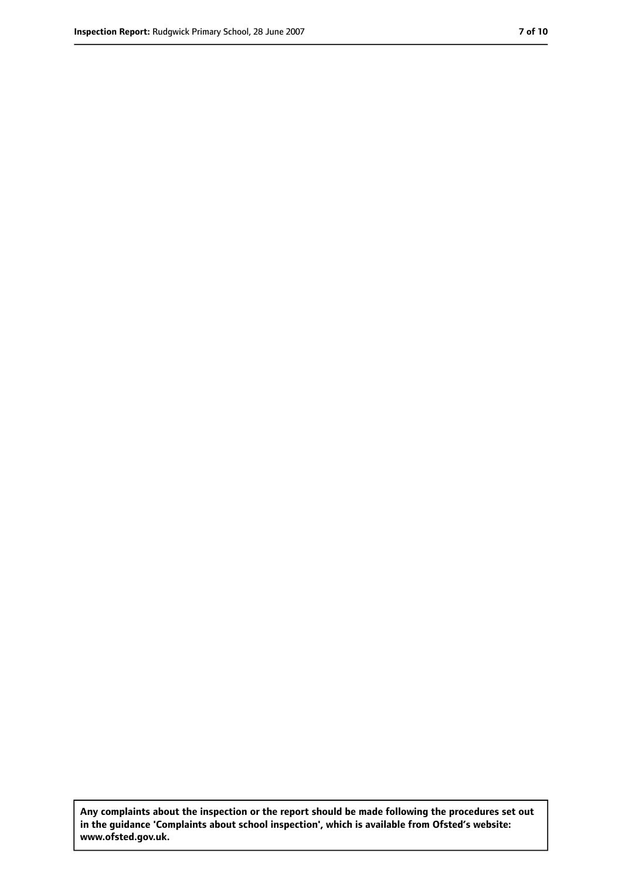**Any complaints about the inspection or the report should be made following the procedures set out in the guidance 'Complaints about school inspection', which is available from Ofsted's website: www.ofsted.gov.uk.**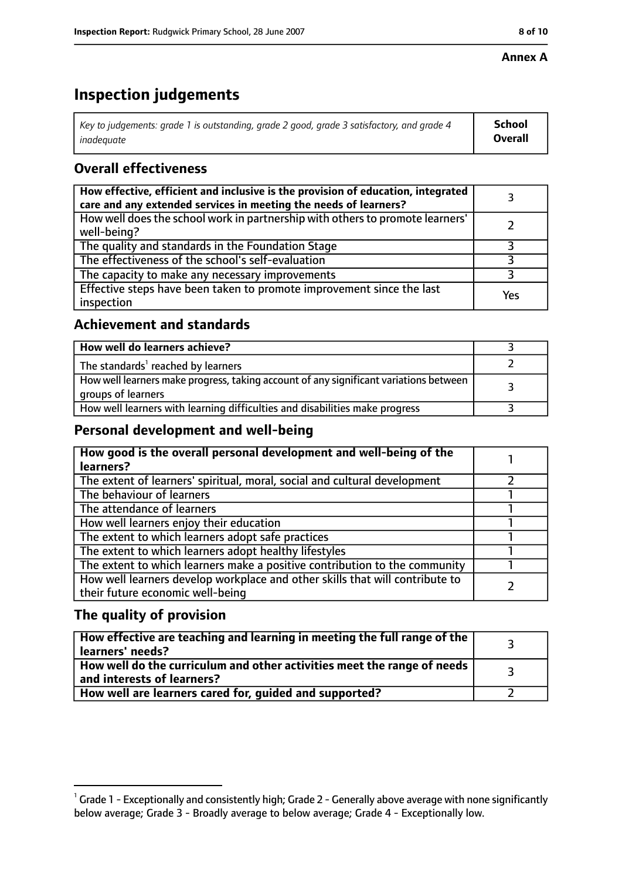#### **Annex A**

# **Inspection judgements**

| Key to judgements: grade 1 is outstanding, grade 2 good, grade 3 satisfactory, and grade 4 | <b>School</b>  |
|--------------------------------------------------------------------------------------------|----------------|
| inadeauate                                                                                 | <b>Overall</b> |

## **Overall effectiveness**

| How effective, efficient and inclusive is the provision of education, integrated<br>care and any extended services in meeting the needs of learners? |     |
|------------------------------------------------------------------------------------------------------------------------------------------------------|-----|
| How well does the school work in partnership with others to promote learners'<br>well-being?                                                         |     |
| The quality and standards in the Foundation Stage                                                                                                    |     |
| The effectiveness of the school's self-evaluation                                                                                                    |     |
| The capacity to make any necessary improvements                                                                                                      |     |
| Effective steps have been taken to promote improvement since the last<br>inspection                                                                  | Yes |

## **Achievement and standards**

| How well do learners achieve?                                                                               |  |
|-------------------------------------------------------------------------------------------------------------|--|
| The standards <sup>1</sup> reached by learners                                                              |  |
| How well learners make progress, taking account of any significant variations between<br>groups of learners |  |
| How well learners with learning difficulties and disabilities make progress                                 |  |

#### **Personal development and well-being**

| How good is the overall personal development and well-being of the<br>learners?                                  |  |
|------------------------------------------------------------------------------------------------------------------|--|
| The extent of learners' spiritual, moral, social and cultural development                                        |  |
| The behaviour of learners                                                                                        |  |
| The attendance of learners                                                                                       |  |
| How well learners enjoy their education                                                                          |  |
| The extent to which learners adopt safe practices                                                                |  |
| The extent to which learners adopt healthy lifestyles                                                            |  |
| The extent to which learners make a positive contribution to the community                                       |  |
| How well learners develop workplace and other skills that will contribute to<br>their future economic well-being |  |

## **The quality of provision**

| How effective are teaching and learning in meeting the full range of the<br>learners' needs?          |  |
|-------------------------------------------------------------------------------------------------------|--|
| How well do the curriculum and other activities meet the range of needs<br>and interests of learners? |  |
| How well are learners cared for, guided and supported?                                                |  |

 $^1$  Grade 1 - Exceptionally and consistently high; Grade 2 - Generally above average with none significantly below average; Grade 3 - Broadly average to below average; Grade 4 - Exceptionally low.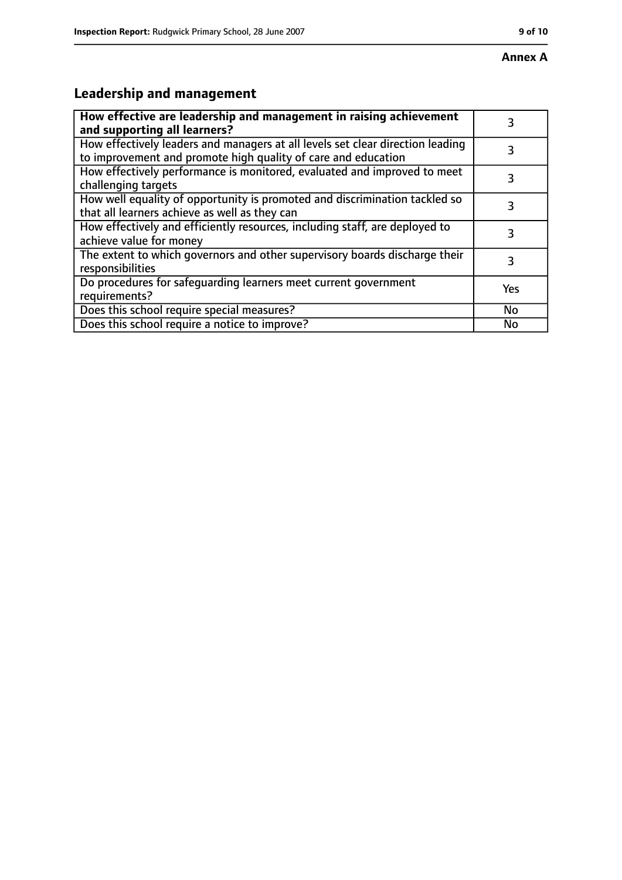# **Leadership and management**

| How effective are leadership and management in raising achievement<br>and supporting all learners?                                              | 3   |
|-------------------------------------------------------------------------------------------------------------------------------------------------|-----|
| How effectively leaders and managers at all levels set clear direction leading<br>to improvement and promote high quality of care and education |     |
| How effectively performance is monitored, evaluated and improved to meet<br>challenging targets                                                 | 3   |
| How well equality of opportunity is promoted and discrimination tackled so<br>that all learners achieve as well as they can                     | 3   |
| How effectively and efficiently resources, including staff, are deployed to<br>achieve value for money                                          | 3   |
| The extent to which governors and other supervisory boards discharge their<br>responsibilities                                                  | 3   |
| Do procedures for safequarding learners meet current government<br>requirements?                                                                | Yes |
| Does this school require special measures?                                                                                                      | No  |
| Does this school require a notice to improve?                                                                                                   | No  |